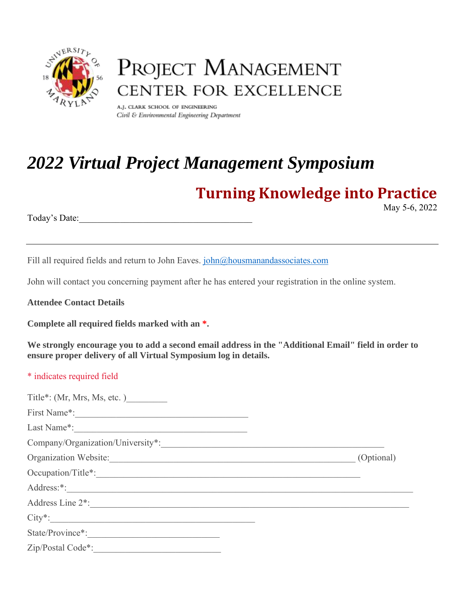

# PROJECT MANAGEMENT CENTER FOR EXCELLENCE

A.J. CLARK SCHOOL OF ENGINEERING Civil & Environmental Engineering Department

# *2022 Virtual Project Management Symposium*

# **Turning Knowledge into Practice**

May 5-6, 2022

Today's Date:

Fill all required fields and return to John Eaves. john@housmanandassociates.com

John will contact you concerning payment after he has entered your registration in the online system.

**Attendee Contact Details**

**Complete all required fields marked with an \*.**

**We strongly encourage you to add a second email address in the "Additional Email" field in order to ensure proper delivery of all Virtual Symposium log in details.**

# \* indicates required field

| Title*: $(Mr, Mrs, Ms, etc.)$ |            |
|-------------------------------|------------|
|                               |            |
|                               |            |
|                               |            |
| Organization Website:         | (Optional) |
|                               |            |
|                               |            |
| Address Line 2 <sup>*</sup> : |            |
| $City*$ :                     |            |
| State/Province*:              |            |
| Zip/Postal Code*:             |            |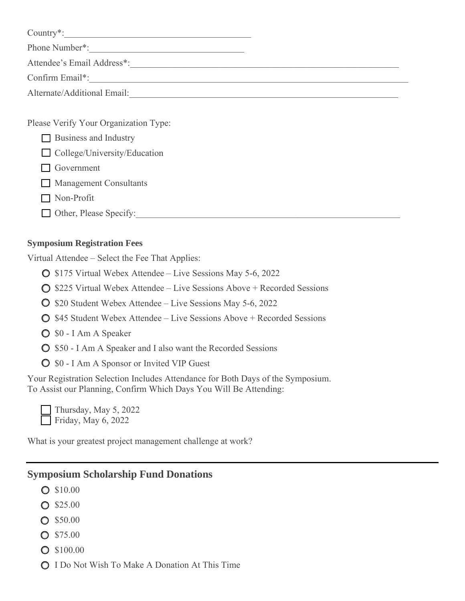| Country*:                             |  |
|---------------------------------------|--|
| Phone Number*:                        |  |
| Attendee's Email Address*:            |  |
| Confirm Email*:                       |  |
| Alternate/Additional Email:           |  |
|                                       |  |
| Please Verify Your Organization Type: |  |
| <b>Business and Industry</b>          |  |
| $\Box$ College/University/Education   |  |

- □ Government
- **Management Consultants**
- Non-Profit
- $\Box$  Other, Please Specify:

#### **Symposium Registration Fees**

Virtual Attendee – Select the Fee That Applies:

- \$175 Virtual Webex Attendee Live Sessions May 5-6, 2022
- $\bigcirc$  \$225 Virtual Webex Attendee Live Sessions Above + Recorded Sessions
- **O** \$20 Student Webex Attendee Live Sessions May 5-6, 2022
- $\bigcirc$  \$45 Student Webex Attendee Live Sessions Above + Recorded Sessions
- $\bigcirc$  \$0 I Am A Speaker
- $\bigcirc$  \$50 I Am A Speaker and I also want the Recorded Sessions
- $\bigcirc$  \$0 I Am A Sponsor or Invited VIP Guest

Your Registration Selection Includes Attendance for Both Days of the Symposium. To Assist our Planning, Confirm Which Days You Will Be Attending:

Thursday, May 5, 2022 Friday, May 6, 2022

What is your greatest project management challenge at work?

# **Symposium Scholarship Fund Donations**

- $\bigcirc$  \$10.00
- $O$  \$25.00
- $O$  \$50.00
- S75.00
- **O** \$100.00
- **O** I Do Not Wish To Make A Donation At This Time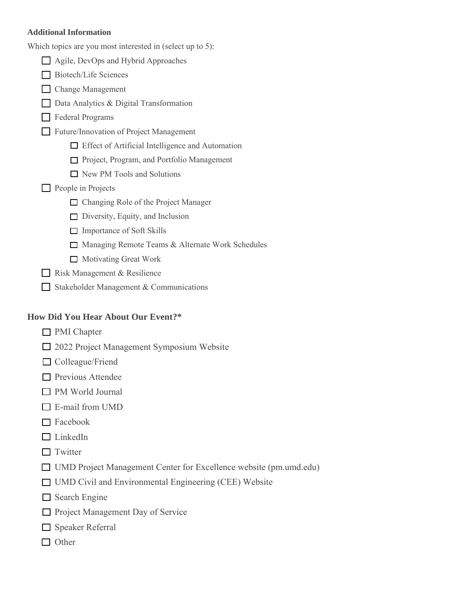#### **Additional Information**

| Which topics are you most interested in (select up to 5):         |
|-------------------------------------------------------------------|
| Agile, DevOps and Hybrid Approaches                               |
| <b>Biotech/Life Sciences</b>                                      |
| <b>Change Management</b>                                          |
| Data Analytics & Digital Transformation                           |
| <b>Federal Programs</b>                                           |
| Future/Innovation of Project Management                           |
| □ Effect of Artificial Intelligence and Automation                |
| Project, Program, and Portfolio Management                        |
| $\Box$ New PM Tools and Solutions                                 |
| People in Projects                                                |
| □ Changing Role of the Project Manager                            |
| $\Box$ Diversity, Equity, and Inclusion                           |
| $\Box$ Importance of Soft Skills                                  |
| Managing Remote Teams & Alternate Work Schedules                  |
| $\Box$ Motivating Great Work                                      |
| Risk Management & Resilience                                      |
| Stakeholder Management & Communications                           |
| <b>How Did You Hear About Our Event?*</b>                         |
| <b>PMI</b> Chapter                                                |
| 2022 Project Management Symposium Website                         |
| $\Box$ Colleague/Friend                                           |
| $\Box$ Previous Attendee                                          |
| PM World Journal                                                  |
| E-mail from UMD                                                   |
| Facebook                                                          |
| LinkedIn                                                          |
| Twitter                                                           |
| UMD Project Management Center for Excellence website (pm.umd.edu) |
| UMD Civil and Environmental Engineering (CEE) Website             |
| Search Engine                                                     |
| Project Management Day of Service                                 |
| Speaker Referral                                                  |
|                                                                   |

□ Other